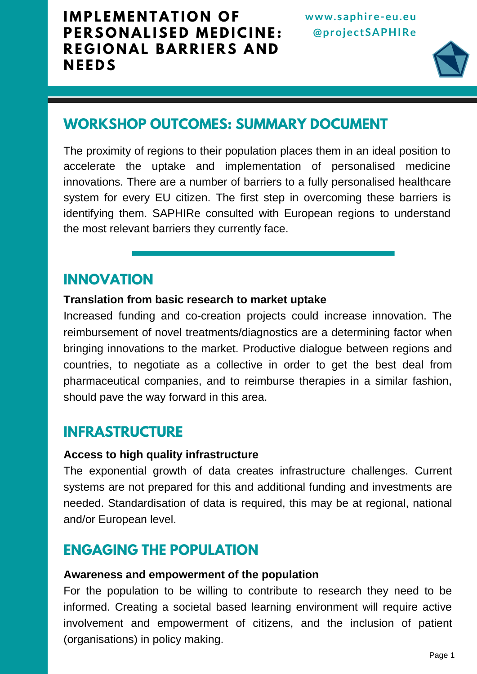

# **WORKSHOP OUTCOMES: SUMMARY DOCUMENT**

The proximity of regions to their population places them in an ideal position to accelerate the uptake and implementation of personalised medicine innovations. There are a number of barriers to a fully personalised healthcare system for every EU citizen. The first step in overcoming these barriers is identifying them. SAPHIRe consulted with European regions to understand the most relevant barriers they currently face.

# **INNOVATION**

#### **Translation from basic research to market uptake**

Increased funding and co-creation projects could increase innovation. The reimbursement of novel treatments/diagnostics are a determining factor when bringing innovations to the market. Productive dialogue between regions and countries, to negotiate as a collective in order to get the best deal from pharmaceutical companies, and to reimburse therapies in a similar fashion, should pave the way forward in this area.

# **INFRASTRUCTURE**

#### **Access to high quality infrastructure**

The exponential growth of data creates infrastructure challenges. Current systems are not prepared for this and additional funding and investments are needed. Standardisation of data is required, this may be at regional, national and/or European level.

# **ENGAGING THE POPULATION**

#### **Awareness and empowerment of the population**

For the population to be willing to contribute to research they need to be informed. Creating a societal based learning environment will require active involvement and empowerment of citizens, and the inclusion of patient (organisations) in policy making.